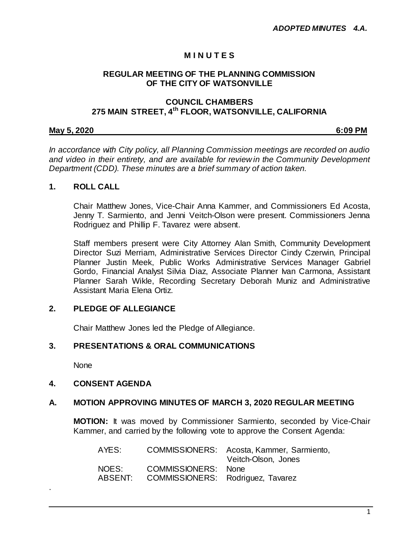# **M I N U T E S**

#### **REGULAR MEETING OF THE PLANNING COMMISSION OF THE CITY OF WATSONVILLE**

# **COUNCIL CHAMBERS 275 MAIN STREET, 4th FLOOR, WATSONVILLE, CALIFORNIA**

#### **May 5, 2020 6:09 PM**

*In accordance with City policy, all Planning Commission meetings are recorded on audio and video in their entirety, and are available for review in the Community Development Department (CDD). These minutes are a brief summary of action taken.*

#### **1. ROLL CALL**

Chair Matthew Jones, Vice-Chair Anna Kammer, and Commissioners Ed Acosta, Jenny T. Sarmiento, and Jenni Veitch-Olson were present. Commissioners Jenna Rodriguez and Phillip F. Tavarez were absent.

Staff members present were City Attorney Alan Smith, Community Development Director Suzi Merriam, Administrative Services Director Cindy Czerwin, Principal Planner Justin Meek, Public Works Administrative Services Manager Gabriel Gordo, Financial Analyst Silvia Diaz, Associate Planner Ivan Carmona, Assistant Planner Sarah Wikle, Recording Secretary Deborah Muniz and Administrative Assistant Maria Elena Ortiz.

# **2. PLEDGE OF ALLEGIANCE**

Chair Matthew Jones led the Pledge of Allegiance.

#### **3. PRESENTATIONS & ORAL COMMUNICATIONS**

None

.

#### **4. CONSENT AGENDA**

#### **A. MOTION APPROVING MINUTES OF MARCH 3, 2020 REGULAR MEETING**

**MOTION:** It was moved by Commissioner Sarmiento, seconded by Vice-Chair Kammer, and carried by the following vote to approve the Consent Agenda:

| AYES:   |                                   | COMMISSIONERS: Acosta, Kammer, Sarmiento,<br>Veitch-Olson, Jones |
|---------|-----------------------------------|------------------------------------------------------------------|
| NOES:   | COMMISSIONERS: None               |                                                                  |
| ABSENT: | COMMISSIONERS: Rodriguez, Tavarez |                                                                  |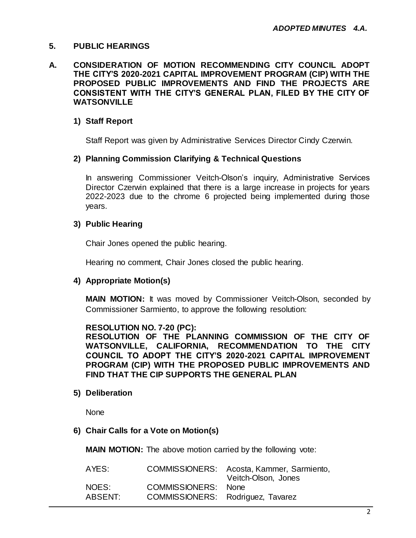# **5. PUBLIC HEARINGS**

**A. CONSIDERATION OF MOTION RECOMMENDING CITY COUNCIL ADOPT THE CITY'S 2020-2021 CAPITAL IMPROVEMENT PROGRAM (CIP) WITH THE PROPOSED PUBLIC IMPROVEMENTS AND FIND THE PROJECTS ARE CONSISTENT WITH THE CITY'S GENERAL PLAN, FILED BY THE CITY OF WATSONVILLE**

# **1) Staff Report**

Staff Report was given by Administrative Services Director Cindy Czerwin.

# **2) Planning Commission Clarifying & Technical Questions**

In answering Commissioner Veitch-Olson's inquiry, Administrative Services Director Czerwin explained that there is a large increase in projects for years 2022-2023 due to the chrome 6 projected being implemented during those years.

#### **3) Public Hearing**

Chair Jones opened the public hearing.

Hearing no comment, Chair Jones closed the public hearing.

# **4) Appropriate Motion(s)**

**MAIN MOTION:** It was moved by Commissioner Veitch-Olson, seconded by Commissioner Sarmiento, to approve the following resolution:

#### **RESOLUTION NO. 7-20 (PC):**

**RESOLUTION OF THE PLANNING COMMISSION OF THE CITY OF WATSONVILLE, CALIFORNIA, RECOMMENDATION TO THE CITY COUNCIL TO ADOPT THE CITY'S 2020-2021 CAPITAL IMPROVEMENT PROGRAM (CIP) WITH THE PROPOSED PUBLIC IMPROVEMENTS AND FIND THAT THE CIP SUPPORTS THE GENERAL PLAN**

**5) Deliberation**

**None** 

#### **6) Chair Calls for a Vote on Motion(s)**

**MAIN MOTION:** The above motion carried by the following vote:

|                                   | COMMISSIONERS: Acosta, Kammer, Sarmiento,<br>Veitch-Olson, Jones |
|-----------------------------------|------------------------------------------------------------------|
| COMMISSIONERS: None               |                                                                  |
| COMMISSIONERS: Rodriguez, Tavarez |                                                                  |
|                                   |                                                                  |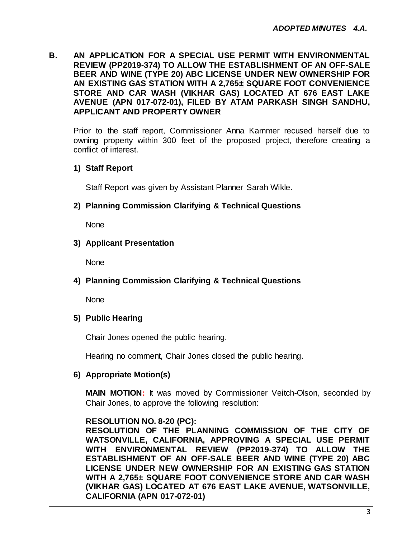# **B. AN APPLICATION FOR A SPECIAL USE PERMIT WITH ENVIRONMENTAL REVIEW (PP2019-374) TO ALLOW THE ESTABLISHMENT OF AN OFF-SALE BEER AND WINE (TYPE 20) ABC LICENSE UNDER NEW OWNERSHIP FOR AN EXISTING GAS STATION WITH A 2,765± SQUARE FOOT CONVENIENCE STORE AND CAR WASH (VIKHAR GAS) LOCATED AT 676 EAST LAKE AVENUE (APN 017-072-01), FILED BY ATAM PARKASH SINGH SANDHU, APPLICANT AND PROPERTY OWNER**

Prior to the staff report, Commissioner Anna Kammer recused herself due to owning property within 300 feet of the proposed project, therefore creating a conflict of interest.

# **1) Staff Report**

Staff Report was given by Assistant Planner Sarah Wikle.

# **2) Planning Commission Clarifying & Technical Questions**

**None** 

# **3) Applicant Presentation**

**None** 

# **4) Planning Commission Clarifying & Technical Questions**

None

# **5) Public Hearing**

Chair Jones opened the public hearing.

Hearing no comment, Chair Jones closed the public hearing.

# **6) Appropriate Motion(s)**

**MAIN MOTION:** It was moved by Commissioner Veitch-Olson, seconded by Chair Jones, to approve the following resolution:

# **RESOLUTION NO. 8-20 (PC):**

**RESOLUTION OF THE PLANNING COMMISSION OF THE CITY OF WATSONVILLE, CALIFORNIA, APPROVING A SPECIAL USE PERMIT WITH ENVIRONMENTAL REVIEW (PP2019-374) TO ALLOW THE ESTABLISHMENT OF AN OFF-SALE BEER AND WINE (TYPE 20) ABC LICENSE UNDER NEW OWNERSHIP FOR AN EXISTING GAS STATION WITH A 2,765± SQUARE FOOT CONVENIENCE STORE AND CAR WASH (VIKHAR GAS) LOCATED AT 676 EAST LAKE AVENUE, WATSONVILLE, CALIFORNIA (APN 017-072-01)**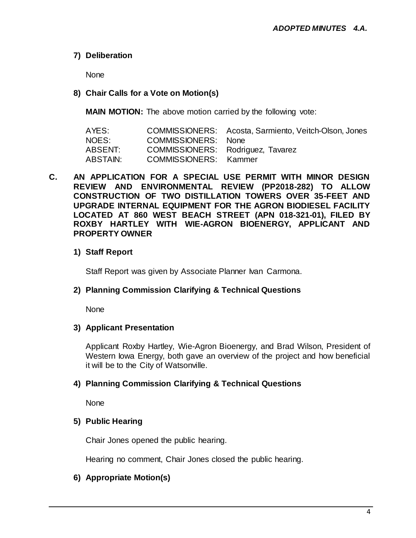# **7) Deliberation**

None

# **8) Chair Calls for a Vote on Motion(s)**

**MAIN MOTION:** The above motion carried by the following vote:

| AYES:    |                                   | COMMISSIONERS: Acosta, Sarmiento, Veitch-Olson, Jones |
|----------|-----------------------------------|-------------------------------------------------------|
| NOES:    | COMMISSIONERS: None               |                                                       |
| ABSENT:  | COMMISSIONERS: Rodriguez, Tavarez |                                                       |
| ABSTAIN: | <b>COMMISSIONERS:</b> Kammer      |                                                       |

**C. AN APPLICATION FOR A SPECIAL USE PERMIT WITH MINOR DESIGN REVIEW AND ENVIRONMENTAL REVIEW (PP2018-282) TO ALLOW CONSTRUCTION OF TWO DISTILLATION TOWERS OVER 35-FEET AND UPGRADE INTERNAL EQUIPMENT FOR THE AGRON BIODIESEL FACILITY LOCATED AT 860 WEST BEACH STREET (APN 018-321-01), FILED BY ROXBY HARTLEY WITH WIE-AGRON BIOENERGY, APPLICANT AND PROPERTY OWNER**

# **1) Staff Report**

Staff Report was given by Associate Planner Ivan Carmona.

# **2) Planning Commission Clarifying & Technical Questions**

None

# **3) Applicant Presentation**

Applicant Roxby Hartley, Wie-Agron Bioenergy, and Brad Wilson, President of Western Iowa Energy, both gave an overview of the project and how beneficial it will be to the City of Watsonville.

# **4) Planning Commission Clarifying & Technical Questions**

None

# **5) Public Hearing**

Chair Jones opened the public hearing.

Hearing no comment, Chair Jones closed the public hearing.

# **6) Appropriate Motion(s)**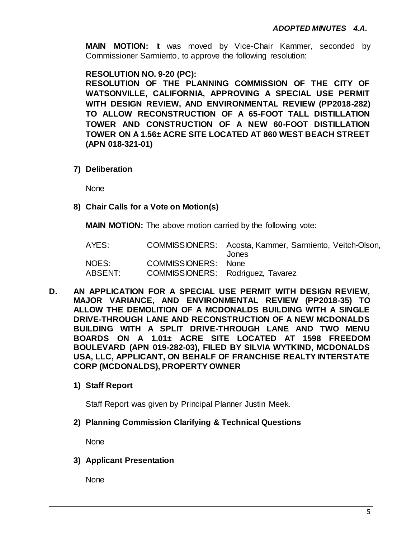**MAIN MOTION:** It was moved by Vice-Chair Kammer, seconded by Commissioner Sarmiento, to approve the following resolution:

**RESOLUTION NO. 9-20 (PC):**

**RESOLUTION OF THE PLANNING COMMISSION OF THE CITY OF WATSONVILLE, CALIFORNIA, APPROVING A SPECIAL USE PERMIT WITH DESIGN REVIEW, AND ENVIRONMENTAL REVIEW (PP2018-282) TO ALLOW RECONSTRUCTION OF A 65-FOOT TALL DISTILLATION TOWER AND CONSTRUCTION OF A NEW 60-FOOT DISTILLATION TOWER ON A 1.56± ACRE SITE LOCATED AT 860 WEST BEACH STREET (APN 018-321-01)**

**7) Deliberation**

None

**8) Chair Calls for a Vote on Motion(s)**

**MAIN MOTION:** The above motion carried by the following vote:

| AYES:   |                                   | COMMISSIONERS: Acosta, Kammer, Sarmiento, Veitch-Olson,<br>Jones |
|---------|-----------------------------------|------------------------------------------------------------------|
| NOES:   | COMMISSIONERS: None               |                                                                  |
| ABSENT: | COMMISSIONERS: Rodriguez, Tavarez |                                                                  |

- **D. AN APPLICATION FOR A SPECIAL USE PERMIT WITH DESIGN REVIEW, MAJOR VARIANCE, AND ENVIRONMENTAL REVIEW (PP2018-35) TO ALLOW THE DEMOLITION OF A MCDONALDS BUILDING WITH A SINGLE DRIVE-THROUGH LANE AND RECONSTRUCTION OF A NEW MCDONALDS BUILDING WITH A SPLIT DRIVE-THROUGH LANE AND TWO MENU BOARDS ON A 1.01± ACRE SITE LOCATED AT 1598 FREEDOM BOULEVARD (APN 019-282-03), FILED BY SILVIA WYTKIND, MCDONALDS USA, LLC, APPLICANT, ON BEHALF OF FRANCHISE REALTY INTERSTATE CORP (MCDONALDS), PROPERTY OWNER**
	- **1) Staff Report**

Staff Report was given by Principal Planner Justin Meek.

**2) Planning Commission Clarifying & Technical Questions**

**None** 

**3) Applicant Presentation**

None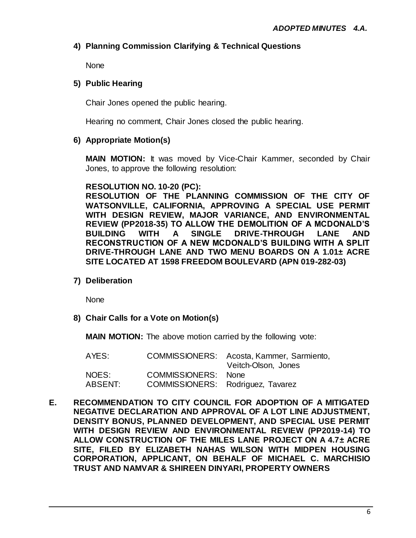# **4) Planning Commission Clarifying & Technical Questions**

None

# **5) Public Hearing**

Chair Jones opened the public hearing.

Hearing no comment, Chair Jones closed the public hearing.

# **6) Appropriate Motion(s)**

**MAIN MOTION:** It was moved by Vice-Chair Kammer, seconded by Chair Jones, to approve the following resolution:

# **RESOLUTION NO. 10-20 (PC):**

**RESOLUTION OF THE PLANNING COMMISSION OF THE CITY OF WATSONVILLE, CALIFORNIA, APPROVING A SPECIAL USE PERMIT WITH DESIGN REVIEW, MAJOR VARIANCE, AND ENVIRONMENTAL REVIEW (PP2018-35) TO ALLOW THE DEMOLITION OF A MCDONALD'S BUILDING WITH A SINGLE DRIVE-THROUGH LANE AND RECONSTRUCTION OF A NEW MCDONALD'S BUILDING WITH A SPLIT DRIVE-THROUGH LANE AND TWO MENU BOARDS ON A 1.01± ACRE SITE LOCATED AT 1598 FREEDOM BOULEVARD (APN 019-282-03)**

**7) Deliberation**

None

**8) Chair Calls for a Vote on Motion(s)**

**MAIN MOTION:** The above motion carried by the following vote:

| AYES:   |                                   | COMMISSIONERS: Acosta, Kammer, Sarmiento,<br>Veitch-Olson, Jones |
|---------|-----------------------------------|------------------------------------------------------------------|
| NOES:   | COMMISSIONERS: None               |                                                                  |
| ABSENT: | COMMISSIONERS: Rodriguez, Tavarez |                                                                  |

**E. RECOMMENDATION TO CITY COUNCIL FOR ADOPTION OF A MITIGATED NEGATIVE DECLARATION AND APPROVAL OF A LOT LINE ADJUSTMENT, DENSITY BONUS, PLANNED DEVELOPMENT, AND SPECIAL USE PERMIT WITH DESIGN REVIEW AND ENVIRONMENTAL REVIEW (PP2019-14) TO ALLOW CONSTRUCTION OF THE MILES LANE PROJECT ON A 4.7± ACRE SITE, FILED BY ELIZABETH NAHAS WILSON WITH MIDPEN HOUSING CORPORATION, APPLICANT, ON BEHALF OF MICHAEL C. MARCHISIO TRUST AND NAMVAR & SHIREEN DINYARI, PROPERTY OWNERS**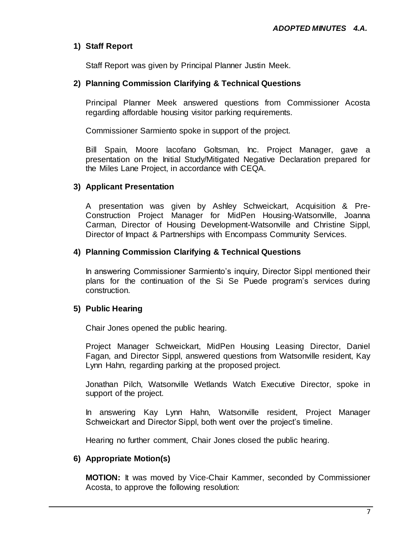# **1) Staff Report**

Staff Report was given by Principal Planner Justin Meek.

# **2) Planning Commission Clarifying & Technical Questions**

Principal Planner Meek answered questions from Commissioner Acosta regarding affordable housing visitor parking requirements.

Commissioner Sarmiento spoke in support of the project.

Bill Spain, Moore lacofano Goltsman, Inc. Project Manager, gave a presentation on the Initial Study/Mitigated Negative Declaration prepared for the Miles Lane Project, in accordance with CEQA.

# **3) Applicant Presentation**

A presentation was given by Ashley Schweickart, Acquisition & Pre-Construction Project Manager for MidPen Housing-Watsonville, Joanna Carman, Director of Housing Development-Watsonville and Christine Sippl, Director of Impact & Partnerships with Encompass Community Services.

# **4) Planning Commission Clarifying & Technical Questions**

In answering Commissioner Sarmiento's inquiry, Director Sippl mentioned their plans for the continuation of the Si Se Puede program's services during construction.

# **5) Public Hearing**

Chair Jones opened the public hearing.

Project Manager Schweickart, MidPen Housing Leasing Director, Daniel Fagan, and Director Sippl, answered questions from Watsonville resident, Kay Lynn Hahn, regarding parking at the proposed project.

Jonathan Pilch, Watsonville Wetlands Watch Executive Director, spoke in support of the project.

In answering Kay Lynn Hahn, Watsonville resident, Project Manager Schweickart and Director Sippl, both went over the project's timeline.

Hearing no further comment, Chair Jones closed the public hearing.

# **6) Appropriate Motion(s)**

**MOTION:** It was moved by Vice-Chair Kammer, seconded by Commissioner Acosta, to approve the following resolution: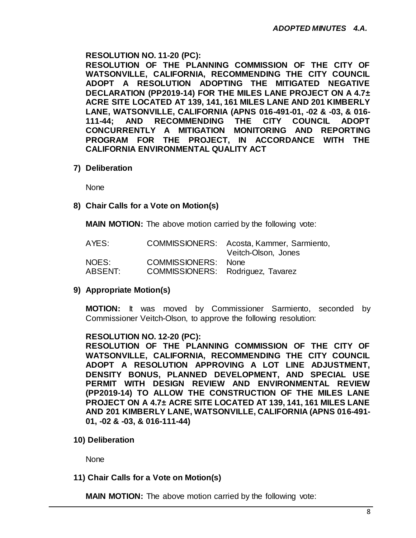# **RESOLUTION NO. 11-20 (PC):**

**RESOLUTION OF THE PLANNING COMMISSION OF THE CITY OF WATSONVILLE, CALIFORNIA, RECOMMENDING THE CITY COUNCIL ADOPT A RESOLUTION ADOPTING THE MITIGATED NEGATIVE DECLARATION (PP2019-14) FOR THE MILES LANE PROJECT ON A 4.7± ACRE SITE LOCATED AT 139, 141, 161 MILES LANE AND 201 KIMBERLY LANE, WATSONVILLE, CALIFORNIA (APNS 016-491-01, -02 & -03, & 016- 111-44; AND RECOMMENDING THE CITY COUNCIL ADOPT CONCURRENTLY A MITIGATION MONITORING AND REPORTING PROGRAM FOR THE PROJECT, IN ACCORDANCE WITH THE CALIFORNIA ENVIRONMENTAL QUALITY ACT**

**7) Deliberation**

None

# **8) Chair Calls for a Vote on Motion(s)**

**MAIN MOTION:** The above motion carried by the following vote:

| AYES:   |                                   | COMMISSIONERS: Acosta, Kammer, Sarmiento,<br>Veitch-Olson, Jones |
|---------|-----------------------------------|------------------------------------------------------------------|
| NOES:   | COMMISSIONERS: None               |                                                                  |
| ABSENT: | COMMISSIONERS: Rodriguez, Tavarez |                                                                  |

# **9) Appropriate Motion(s)**

**MOTION:** It was moved by Commissioner Sarmiento, seconded by Commissioner Veitch-Olson, to approve the following resolution:

# **RESOLUTION NO. 12-20 (PC):**

**RESOLUTION OF THE PLANNING COMMISSION OF THE CITY OF WATSONVILLE, CALIFORNIA, RECOMMENDING THE CITY COUNCIL ADOPT A RESOLUTION APPROVING A LOT LINE ADJUSTMENT, DENSITY BONUS, PLANNED DEVELOPMENT, AND SPECIAL USE PERMIT WITH DESIGN REVIEW AND ENVIRONMENTAL REVIEW (PP2019-14) TO ALLOW THE CONSTRUCTION OF THE MILES LANE PROJECT ON A 4.7± ACRE SITE LOCATED AT 139, 141, 161 MILES LANE AND 201 KIMBERLY LANE, WATSONVILLE, CALIFORNIA (APNS 016-491- 01, -02 & -03, & 016-111-44)**

**10) Deliberation**

None

# **11) Chair Calls for a Vote on Motion(s)**

**MAIN MOTION:** The above motion carried by the following vote: